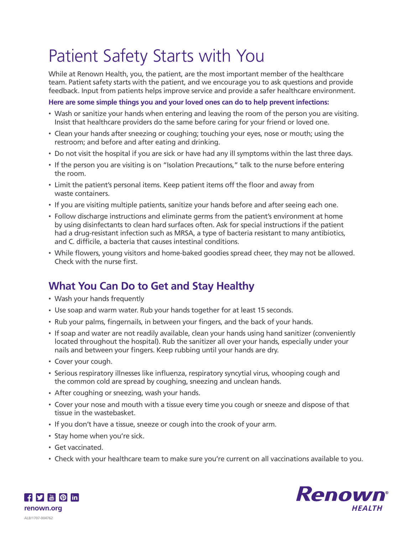# Patient Safety Starts with You

While at Renown Health, you, the patient, are the most important member of the healthcare team. Patient safety starts with the patient, and we encourage you to ask questions and provide feedback. Input from patients helps improve service and provide a safer healthcare environment.

**Here are some simple things you and your loved ones can do to help prevent infections:**

- Wash or sanitize your hands when entering and leaving the room of the person you are visiting. Insist that healthcare providers do the same before caring for your friend or loved one.
- Clean your hands after sneezing or coughing; touching your eyes, nose or mouth; using the restroom; and before and after eating and drinking.
- Do not visit the hospital if you are sick or have had any ill symptoms within the last three days.
- If the person you are visiting is on "Isolation Precautions," talk to the nurse before entering the room.
- Limit the patient's personal items. Keep patient items off the floor and away from waste containers.
- If you are visiting multiple patients, sanitize your hands before and after seeing each one.
- Follow discharge instructions and eliminate germs from the patient's environment at home by using disinfectants to clean hard surfaces often. Ask for special instructions if the patient had a drug-resistant infection such as MRSA, a type of bacteria resistant to many antibiotics, and C. difficile, a bacteria that causes intestinal conditions.
- While flowers, young visitors and home-baked goodies spread cheer, they may not be allowed. Check with the nurse first.

## **What You Can Do to Get and Stay Healthy**

- Wash your hands frequently
- Use soap and warm water. Rub your hands together for at least 15 seconds.
- Rub your palms, fingernails, in between your fingers, and the back of your hands.
- If soap and water are not readily available, clean your hands using hand sanitizer (conveniently located throughout the hospital). Rub the sanitizer all over your hands, especially under your nails and between your fingers. Keep rubbing until your hands are dry.
- Cover your cough.
- Serious respiratory illnesses like influenza, respiratory syncytial virus, whooping cough and the common cold are spread by coughing, sneezing and unclean hands.
- After coughing or sneezing, wash your hands.
- Cover your nose and mouth with a tissue every time you cough or sneeze and dispose of that tissue in the wastebasket.
- If you don't have a tissue, sneeze or cough into the crook of your arm.
- Stay home when you're sick.
- Get vaccinated.
- Check with your healthcare team to make sure you're current on all vaccinations available to you.



 $\frac{1}{2}$   $\frac{1}{2}$   $\frac{1}{2}$   $\frac{1}{2}$   $\frac{1}{2}$   $\frac{1}{2}$   $\frac{1}{2}$   $\frac{1}{2}$   $\frac{1}{2}$   $\frac{1}{2}$   $\frac{1}{2}$   $\frac{1}{2}$   $\frac{1}{2}$   $\frac{1}{2}$   $\frac{1}{2}$   $\frac{1}{2}$   $\frac{1}{2}$   $\frac{1}{2}$   $\frac{1}{2}$   $\frac{1}{2}$   $\frac{1}{2}$   $\frac{1}{2}$  **renown.org**ALB/1707-004762